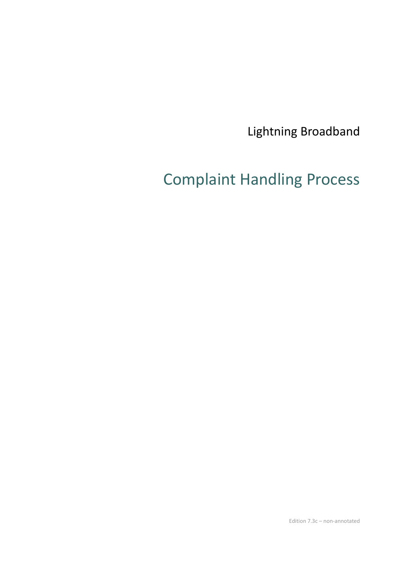Lightning Broadband

# Complaint Handling Process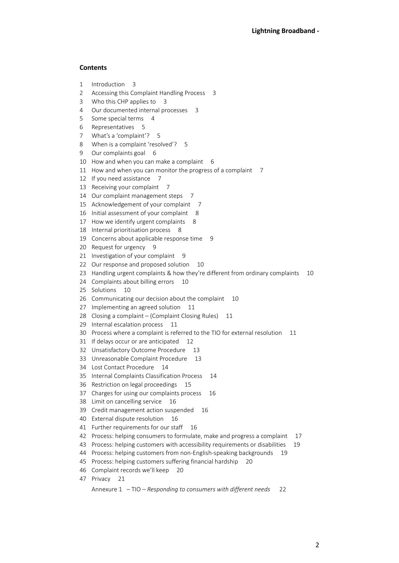#### **Contents**

- 1 Introduction 3
- 2 Accessing this Complaint Handling Process 3
- 3 Who this CHP applies to 3
- 4 Our documented internal processes 3
- 5 Some special terms 4
- 6 Representatives 5
- 7 What's a 'complaint'? 5
- 8 When is a complaint 'resolved'? 5
- 9 Our complaints goal 6
- 10 How and when you can make a complaint 6
- 11 How and when you can monitor the progress of a complaint 7
- 12 If you need assistance 7
- 13 Receiving your complaint 7
- 14 Our complaint management steps 7
- 15 Acknowledgement of your complaint 7
- 16 Initial assessment of your complaint 8
- 17 How we identify urgent complaints 8
- 18 Internal prioritisation process 8
- 19 Concerns about applicable response time 9
- 20 Request for urgency 9
- 21 Investigation of your complaint 9
- 22 Our response and proposed solution 10
- 23 Handling urgent complaints & how they're different from ordinary complaints 10
- 24 Complaints about billing errors 10
- 25 Solutions 10
- 26 Communicating our decision about the complaint 10
- 27 Implementing an agreed solution 11
- 28 Closing a complaint (Complaint Closing Rules) 11
- 29 Internal escalation process 11
- 30 Process where a complaint is referred to the TIO for external resolution 11
- 31 If delays occur or are anticipated 12
- 32 Unsatisfactory Outcome Procedure 13
- 33 Unreasonable Complaint Procedure 13
- 34 Lost Contact Procedure 14
- 35 Internal Complaints Classification Process 14
- 36 Restriction on legal proceedings 15
- 37 Charges for using our complaints process 16
- 38 Limit on cancelling service 16
- 39 Credit management action suspended 16
- 40 External dispute resolution 16
- 41 Further requirements for our staff 16
- 42 Process: helping consumers to formulate, make and progress a complaint 17
- 43 Process: helping customers with accessibility requirements or disabilities 19
- 44 Process: helping customers from non-English-speaking backgrounds 19
- 45 Process: helping customers suffering financial hardship 20
- 46 Complaint records we'll keep 20
- 47 Privacy 21

Annexure 1 – TIO – *Responding to consumers with different needs* 22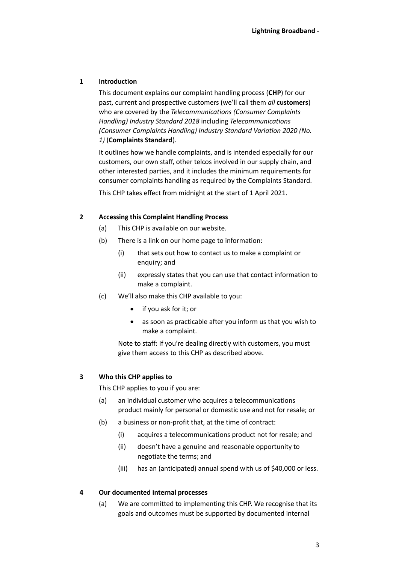# **1 Introduction**

This document explains our complaint handling process (**CHP**) for our past, current and prospective customers (we'll call them *all* **customers**) who are covered by the *Telecommunications (Consumer Complaints Handling) Industry Standard 2018* including *Telecommunications (Consumer Complaints Handling) Industry Standard Variation 2020 (No. 1)* (**Complaints Standard**).

It outlines how we handle complaints, and is intended especially for our customers, our own staff, other telcos involved in our supply chain, and other interested parties, and it includes the minimum requirements for consumer complaints handling as required by the Complaints Standard.

This CHP takes effect from midnight at the start of 1 April 2021.

# **2 Accessing this Complaint Handling Process**

- (a) This CHP is available on our website.
- (b) There is a link on our home page to information:
	- (i) that sets out how to contact us to make a complaint or enquiry; and
	- (ii) expressly states that you can use that contact information to make a complaint.
- (c) We'll also make this CHP available to you:
	- if you ask for it; or
	- as soon as practicable after you inform us that you wish to make a complaint.

Note to staff: If you're dealing directly with customers, you must give them access to this CHP as described above.

#### **3 Who this CHP applies to**

This CHP applies to you if you are:

- (a) an individual customer who acquires a telecommunications product mainly for personal or domestic use and not for resale; or
- (b) a business or non-profit that, at the time of contract:
	- (i) acquires a telecommunications product not for resale; and
	- (ii) doesn't have a genuine and reasonable opportunity to negotiate the terms; and
	- (iii) has an (anticipated) annual spend with us of \$40,000 or less.

# **4 Our documented internal processes**

(a) We are committed to implementing this CHP. We recognise that its goals and outcomes must be supported by documented internal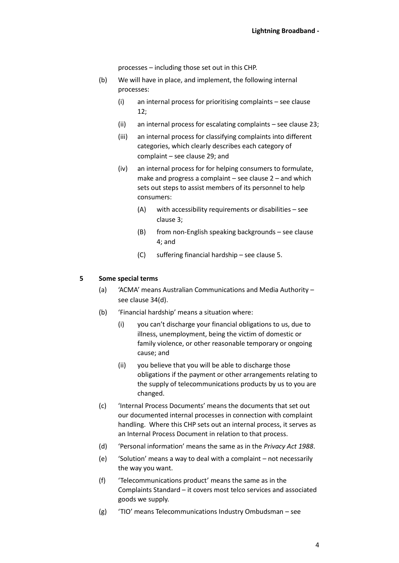processes – including those set out in this CHP.

- (b) We will have in place, and implement, the following internal processes:
	- (i) an internal process for prioritising complaints see clause [12;](#page-7-0)
	- (ii) an internal process for escalating complaints see clause [23;](#page-10-0)
	- (iii) an internal process for classifying complaints into different categories, which clearly describes each category of complaint – see claus[e 29;](#page-13-0) and
	- (iv) an internal process for for helping consumers to formulate, make and progress a complaint – see clause [2](#page-16-0) – and which sets out steps to assist members of its personnel to help consumers:
		- (A) with accessibility requirements or disabilities see claus[e 3;](#page-18-0)
		- (B) from non-English speaking backgrounds see clause [4;](#page-18-1) and
		- (C) suffering financial hardship see claus[e 5.](#page-19-0)

# **5 Some special terms**

- (a) 'ACMA' means Australian Communications and Media Authority see claus[e 34](#page-15-0)[\(d\).](#page-15-1)
- (b) 'Financial hardship' means a situation where:
	- (i) you can't discharge your financial obligations to us, due to illness, unemployment, being the victim of domestic or family violence, or other reasonable temporary or ongoing cause; and
	- (ii) you believe that you will be able to discharge those obligations if the payment or other arrangements relating to the supply of telecommunications products by us to you are changed.
- (c) 'Internal Process Documents' means the documents that set out our documented internal processes in connection with complaint handling. Where this CHP sets out an internal process, it serves as an Internal Process Document in relation to that process.
- (d) 'Personal information' means the same as in the *Privacy Act 1988*.
- (e) 'Solution' means a way to deal with a complaint not necessarily the way you want.
- (f) 'Telecommunications product' means the same as in the Complaints Standard – it covers most telco services and associated goods we supply.
- (g) 'TIO' means Telecommunications Industry Ombudsman see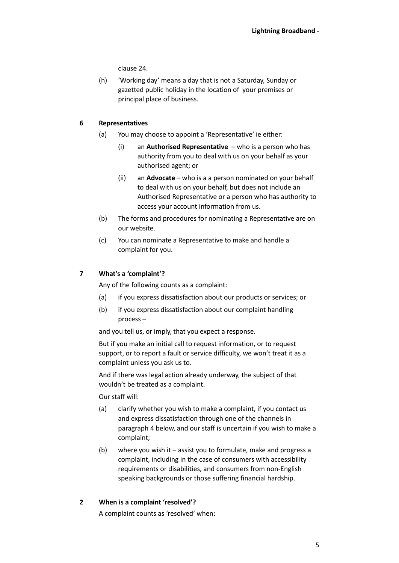clause [24.](#page-11-0)

(h) 'Working day' means a day that is not a Saturday, Sunday or gazetted public holiday in the location of your premises or principal place of business.

## <span id="page-4-0"></span>**6 Representatives**

- (a) You may choose to appoint a 'Representative' ie either:
	- (i) an **Authorised Representative** who is a person who has authority from you to deal with us on your behalf as your authorised agent; or
	- (ii) an **Advocate** who is a a person nominated on your behalf to deal with us on your behalf, but does not include an Authorised Representative or a person who has authority to access your account information from us.
- (b) The forms and procedures for nominating a Representative are on our website.
- (c) You can nominate a Representative to make and handle a complaint for you.

## **7 What's a 'complaint'?**

Any of the following counts as a complaint:

- (a) if you express dissatisfaction about our products or services; or
- (b) if you express dissatisfaction about our complaint handling process –

and you tell us, or imply, that you expect a response.

But if you make an initial call to request information, or to request support, or to report a fault or service difficulty, we won't treat it as a complaint unless you ask us to.

And if there was legal action already underway, the subject of that wouldn't be treated as a complaint.

Our staff will:

- (a) clarify whether you wish to make a complaint, if you contact us and express dissatisfaction through one of the channels in paragraph [4](#page-5-0) [below,](#page-5-0) and our staff is uncertain if you wish to make a complaint;
- (b) where you wish it assist you to formulate, make and progress a complaint, including in the case of consumers with accessibility requirements or disabilities, and consumers from non-English speaking backgrounds or those suffering financial hardship.
- **2 When is a complaint 'resolved'?**

A complaint counts as 'resolved' when: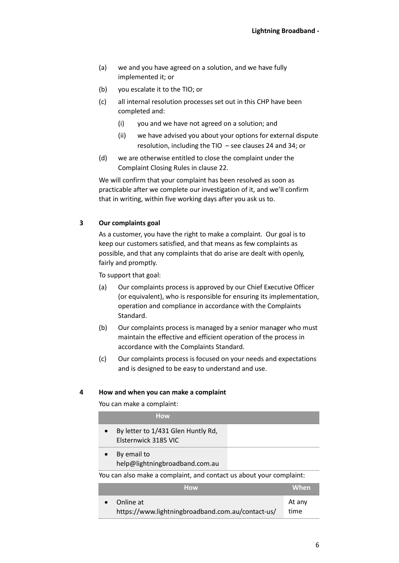- (a) we and you have agreed on a solution, and we have fully implemented it; or
- (b) you escalate it to the TIO; or
- (c) all internal resolution processes set out in this CHP have been completed and:
	- (i) you and we have not agreed on a solution; and
	- (ii) we have advised you about your options for external dispute resolution, including the TIO – see clauses [24](#page-11-0) and [34;](#page-15-0) or
- (d) we are otherwise entitled to close the complaint under the Complaint Closing Rules in clause [22.](#page-10-1)

We will confirm that your complaint has been resolved as soon as practicable after we complete our investigation of it, and we'll confirm that in writing, within five working days after you ask us to.

## **3 Our complaints goal**

As a customer, you have the right to make a complaint. Our goal is to keep our customers satisfied, and that means as few complaints as possible, and that any complaints that do arise are dealt with openly, fairly and promptly.

To support that goal:

- (a) Our complaints process is approved by our Chief Executive Officer (or equivalent), who is responsible for ensuring its implementation, operation and compliance in accordance with the Complaints Standard.
- (b) Our complaints process is managed by a senior manager who must maintain the effective and efficient operation of the process in accordance with the Complaints Standard.
- (c) Our complaints process is focused on your needs and expectations and is designed to be easy to understand and use.

#### <span id="page-5-0"></span>**4 How and when you can make a complaint**

You can make a complaint:

| <b>How</b>                                                          |  |        |
|---------------------------------------------------------------------|--|--------|
| By letter to 1/431 Glen Huntly Rd,<br>Elsternwick 3185 VIC          |  |        |
| By email to<br>help@lightningbroadband.com.au                       |  |        |
| You can also make a complaint, and contact us about your complaint: |  |        |
| <b>How</b>                                                          |  | When   |
| Online at                                                           |  | At any |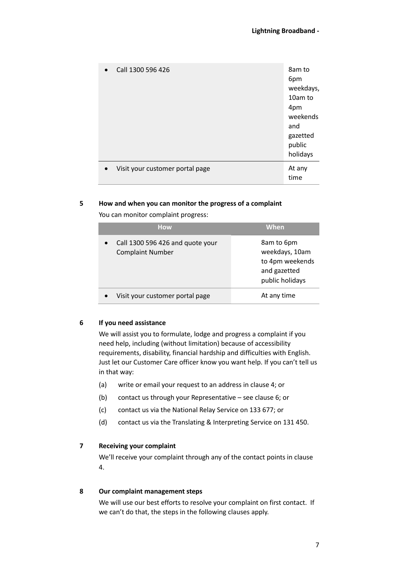| $\bullet$ | Call 1300 596 426               | 8am to<br>6pm<br>weekdays,<br>10am to<br>4pm<br>weekends<br>and<br>gazetted<br>public<br>holidays |
|-----------|---------------------------------|---------------------------------------------------------------------------------------------------|
| $\bullet$ | Visit your customer portal page | At any<br>time                                                                                    |

# **5 How and when you can monitor the progress of a complaint**

You can monitor complaint progress:

| <b>How</b>                                                  | <b>When</b>                                                                        |
|-------------------------------------------------------------|------------------------------------------------------------------------------------|
| Call 1300 596 426 and quote your<br><b>Complaint Number</b> | 8am to 6pm<br>weekdays, 10am<br>to 4pm weekends<br>and gazetted<br>public holidays |
| Visit your customer portal page                             | At any time                                                                        |

# **6 If you need assistance**

We will assist you to formulate, lodge and progress a complaint if you need help, including (without limitation) because of accessibility requirements, disability, financial hardship and difficulties with English. Just let our Customer Care officer know you want help. If you can't tell us in that way:

- (a) write or email your request to an address in claus[e 4;](#page-5-0) or
- (b) contact us through your Representative see clause [6;](#page-4-0) or
- (c) contact us via the National Relay Service on 133 677; or
- (d) contact us via the Translating & Interpreting Service on 131 450.

#### **7 Receiving your complaint**

We'll receive your complaint through any of the contact points in clause [4.](#page-5-0)

#### **8 Our complaint management steps**

We will use our best efforts to resolve your complaint on first contact. If we can't do that, the steps in the following clauses apply.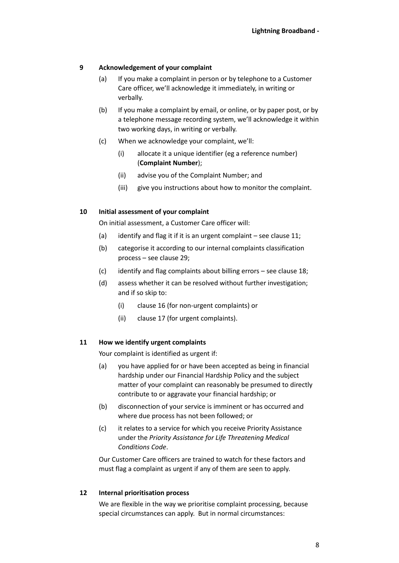# **9 Acknowledgement of your complaint**

- (a) If you make a complaint in person or by telephone to a Customer Care officer, we'll acknowledge it immediately, in writing or verbally.
- (b) If you make a complaint by email, or online, or by paper post, or by a telephone message recording system, we'll acknowledge it within two working days, in writing or verbally.
- (c) When we acknowledge your complaint, we'll:
	- (i) allocate it a unique identifier (eg a reference number) (**Complaint Number**);
	- (ii) advise you of the Complaint Number; and
	- (iii) give you instructions about how to monitor the complaint.

# **10 Initial assessment of your complaint**

On initial assessment, a Customer Care officer will:

- (a) identify and flag it if it is an urgent complaint see clause  $11$ ;
- (b) categorise it according to our internal complaints classification process – see clause [29;](#page-13-0)
- (c) identify and flag complaints about billing errors see clause [18;](#page-9-0)
- (d) assess whether it can be resolved without further investigation; and if so skip to:
	- (i) claus[e 16](#page-9-1) (for non-urgent complaints) or
	- (ii) claus[e 17](#page-9-2) (for urgent complaints).

# <span id="page-7-1"></span>**11 How we identify urgent complaints**

Your complaint is identified as urgent if:

- (a) you have applied for or have been accepted as being in financial hardship under our Financial Hardship Policy and the subject matter of your complaint can reasonably be presumed to directly contribute to or aggravate your financial hardship; or
- (b) disconnection of your service is imminent or has occurred and where due process has not been followed; or
- (c) it relates to a service for which you receive Priority Assistance under the *Priority Assistance for Life Threatening Medical Conditions Code*.

Our Customer Care officers are trained to watch for these factors and must flag a complaint as urgent if any of them are seen to apply.

#### <span id="page-7-0"></span>**12 Internal prioritisation process**

We are flexible in the way we prioritise complaint processing, because special circumstances can apply. But in normal circumstances: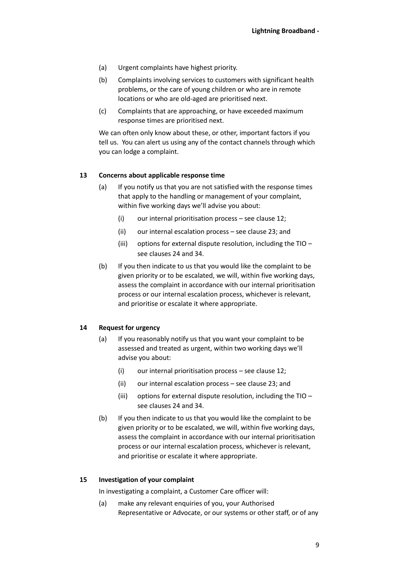- (a) Urgent complaints have highest priority.
- (b) Complaints involving services to customers with significant health problems, or the care of young children or who are in remote locations or who are old-aged are prioritised next.
- (c) Complaints that are approaching, or have exceeded maximum response times are prioritised next.

We can often only know about these, or other, important factors if you tell us. You can alert us using any of the contact channels through which you can lodge a complaint.

## **13 Concerns about applicable response time**

- (a) If you notify us that you are not satisfied with the response times that apply to the handling or management of your complaint, within five working days we'll advise you about:
	- (i) our internal prioritisation process see clause  $12$ ;
	- (ii) our internal escalation process see claus[e 23;](#page-10-0) and
	- (iii) options for external dispute resolution, including the TIO see clause[s 24](#page-11-0) an[d 34.](#page-15-0)
- (b) If you then indicate to us that you would like the complaint to be given priority or to be escalated, we will, within five working days, assess the complaint in accordance with our internal prioritisation process or our internal escalation process, whichever is relevant, and prioritise or escalate it where appropriate.

# **14 Request for urgency**

- (a) If you reasonably notify us that you want your complaint to be assessed and treated as urgent, within two working days we'll advise you about:
	- (i) our internal prioritisation process see clause  $12$ ;
	- (ii) our internal escalation process see claus[e 23;](#page-10-0) and
	- (iii) options for external dispute resolution, including the TIO see clause[s 24](#page-11-0) an[d 34.](#page-15-0)
- (b) If you then indicate to us that you would like the complaint to be given priority or to be escalated, we will, within five working days, assess the complaint in accordance with our internal prioritisation process or our internal escalation process, whichever is relevant, and prioritise or escalate it where appropriate.

#### **15 Investigation of your complaint**

In investigating a complaint, a Customer Care officer will:

(a) make any relevant enquiries of you, your Authorised Representative or Advocate, or our systems or other staff, or of any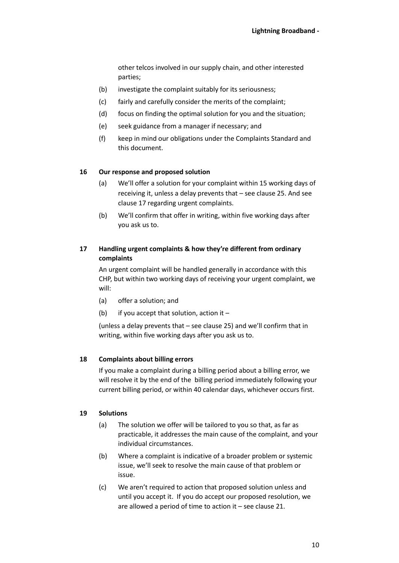other telcos involved in our supply chain, and other interested parties;

- (b) investigate the complaint suitably for its seriousness;
- (c) fairly and carefully consider the merits of the complaint;
- (d) focus on finding the optimal solution for you and the situation;
- (e) seek guidance from a manager if necessary; and
- (f) keep in mind our obligations under the Complaints Standard and this document.

## <span id="page-9-1"></span>**16 Our response and proposed solution**

- (a) We'll offer a solution for your complaint within 15 working days of receiving it, unless a delay prevents that – see claus[e 25.](#page-11-1) And see clause [17](#page-9-2) regarding urgent complaints.
- (b) We'll confirm that offer in writing, within five working days after you ask us to.

# <span id="page-9-2"></span>**17 Handling urgent complaints & how they're different from ordinary complaints**

An urgent complaint will be handled generally in accordance with this CHP, but within two working days of receiving your urgent complaint, we will:

- (a) offer a solution; and
- (b) if you accept that solution, action it –

(unless a delay prevents that – see clause [25](#page-11-1)) and we'll confirm that in writing, within five working days after you ask us to.

#### <span id="page-9-0"></span>**18 Complaints about billing errors**

If you make a complaint during a billing period about a billing error, we will resolve it by the end of the billing period immediately following your current billing period, or within 40 calendar days, whichever occurs first.

#### **19 Solutions**

- (a) The solution we offer will be tailored to you so that, as far as practicable, it addresses the main cause of the complaint, and your individual circumstances.
- (b) Where a complaint is indicative of a broader problem or systemic issue, we'll seek to resolve the main cause of that problem or issue.
- (c) We aren't required to action that proposed solution unless and until you accept it. If you do accept our proposed resolution, we are allowed a period of time to action it – see clause [21.](#page-10-2)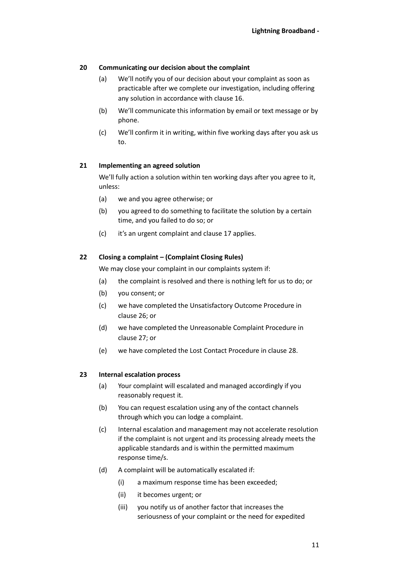# **20 Communicating our decision about the complaint**

- (a) We'll notify you of our decision about your complaint as soon as practicable after we complete our investigation, including offering any solution in accordance with claus[e 16.](#page-9-1)
- (b) We'll communicate this information by email or text message or by phone.
- (c) We'll confirm it in writing, within five working days after you ask us to.

## <span id="page-10-2"></span>**21 Implementing an agreed solution**

We'll fully action a solution within ten working days after you agree to it, unless:

- (a) we and you agree otherwise; or
- (b) you agreed to do something to facilitate the solution by a certain time, and you failed to do so; or
- (c) it's an urgent complaint and clause[17](#page-9-2) applies.

## <span id="page-10-1"></span>**22 Closing a complaint – (Complaint Closing Rules)**

We may close your complaint in our complaints system if:

- (a) the complaint is resolved and there is nothing left for us to do; or
- (b) you consent; or
- (c) we have completed the Unsatisfactory Outcome Procedure in clause [26;](#page-12-0) or
- (d) we have completed the Unreasonable Complaint Procedure in clause [27;](#page-12-1) or
- (e) we have completed the Lost Contact Procedure in clause [28.](#page-13-1)

# <span id="page-10-0"></span>**23 Internal escalation process**

- (a) Your complaint will escalated and managed accordingly if you reasonably request it.
- (b) You can request escalation using any of the contact channels through which you can lodge a complaint.
- (c) Internal escalation and management may not accelerate resolution if the complaint is not urgent and its processing already meets the applicable standards and is within the permitted maximum response time/s.
- (d) A complaint will be automatically escalated if:
	- (i) a maximum response time has been exceeded;
	- (ii) it becomes urgent; or
	- (iii) you notify us of another factor that increases the seriousness of your complaint or the need for expedited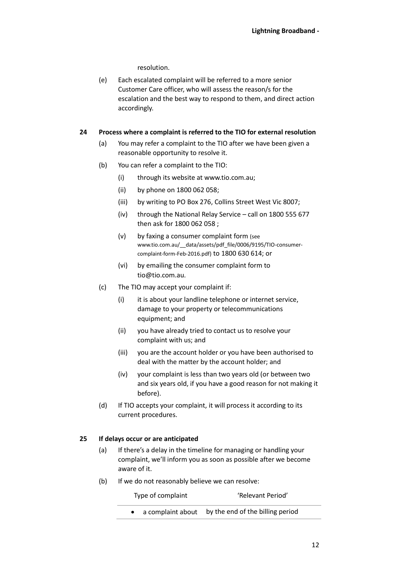resolution.

(e) Each escalated complaint will be referred to a more senior Customer Care officer, who will assess the reason/s for the escalation and the best way to respond to them, and direct action accordingly.

## <span id="page-11-0"></span>**24 Process where a complaint is referred to the TIO for external resolution**

- (a) You may refer a complaint to the TIO after we have been given a reasonable opportunity to resolve it.
- (b) You can refer a complaint to the TIO:
	- (i) through its website at www.tio.com.au;
	- (ii) by phone on 1800 062 058;
	- (iii) by writing to PO Box 276, Collins Street West Vic 8007;
	- (iv) through the National Relay Service call on 1800 555 677 then ask for 1800 062 058 ;
	- (v) by faxing a consumer complaint form (see www.tio.com.au/\_\_data/assets/pdf\_file/0006/9195/TIO-consumercomplaint-form-Feb-2016.pdf) to 1800 630 614; or
	- (vi) by emailing the consumer complaint form to tio@tio.com.au.
- (c) The TIO may accept your complaint if:
	- (i) it is about your landline telephone or internet service, damage to your property or telecommunications equipment; and
	- (ii) you have already tried to contact us to resolve your complaint with us; and
	- (iii) you are the account holder or you have been authorised to deal with the matter by the account holder; and
	- (iv) your complaint is less than two years old (or between two and six years old, if you have a good reason for not making it before).
- (d) If TIO accepts your complaint, it will process it according to its current procedures.

# <span id="page-11-1"></span>**25 If delays occur or are anticipated**

- (a) If there's a delay in the timeline for managing or handling your complaint, we'll inform you as soon as possible after we become aware of it.
- (b) If we do not reasonably believe we can resolve:

Type of complaint 'Relevant Period'

• a complaint about by the end of the billing period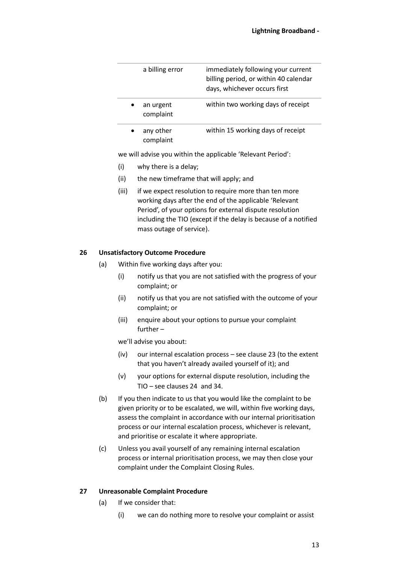| a billing error        | immediately following your current<br>billing period, or within 40 calendar<br>days, whichever occurs first |
|------------------------|-------------------------------------------------------------------------------------------------------------|
| an urgent<br>complaint | within two working days of receipt                                                                          |
| any other<br>complaint | within 15 working days of receipt                                                                           |

we will advise you within the applicable 'Relevant Period':

- (i) why there is a delay;
- (ii) the new timeframe that will apply; and
- (iii) if we expect resolution to require more than ten more working days after the end of the applicable 'Relevant Period', of your options for external dispute resolution including the TIO (except if the delay is because of a notified mass outage of service).

#### <span id="page-12-0"></span>**26 Unsatisfactory Outcome Procedure**

- (a) Within five working days after you:
	- (i) notify us that you are not satisfied with the progress of your complaint; or
	- (ii) notify us that you are not satisfied with the outcome of your complaint; or
	- (iii) enquire about your options to pursue your complaint further –

we'll advise you about:

- (iv) our internal escalation process see claus[e 23](#page-10-0) (to the extent that you haven't already availed yourself of it); and
- (v) your options for external dispute resolution, including the TIO – see clause[s 24](#page-11-0) and [34.](#page-15-0)
- (b) If you then indicate to us that you would like the complaint to be given priority or to be escalated, we will, within five working days, assess the complaint in accordance with our internal prioritisation process or our internal escalation process, whichever is relevant, and prioritise or escalate it where appropriate.
- (c) Unless you avail yourself of any remaining internal escalation process or internal prioritisation process, we may then close your complaint under the Complaint Closing Rules.

#### <span id="page-12-1"></span>**27 Unreasonable Complaint Procedure**

- (a) If we consider that:
	- (i) we can do nothing more to resolve your complaint or assist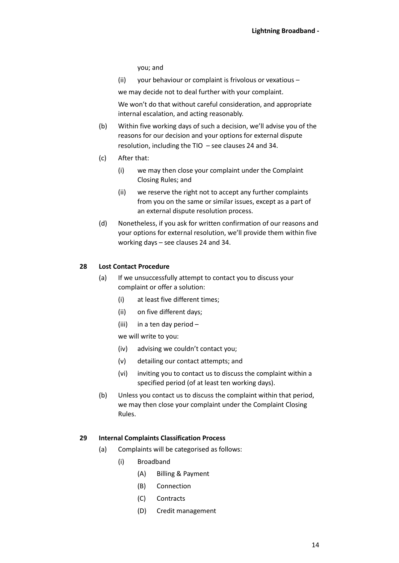you; and

(ii) your behaviour or complaint is frivolous or vexatious –

we may decide not to deal further with your complaint.

We won't do that without careful consideration, and appropriate internal escalation, and acting reasonably.

- (b) Within five working days of such a decision, we'll advise you of the reasons for our decision and your options for external dispute resolution, including the TIO – see clause[s 24](#page-11-0) and [34.](#page-15-0)
- (c) After that:
	- (i) we may then close your complaint under the Complaint Closing Rules; and
	- (ii) we reserve the right not to accept any further complaints from you on the same or similar issues, except as a part of an external dispute resolution process.
- (d) Nonetheless, if you ask for written confirmation of our reasons and your options for external resolution, we'll provide them within five working days – see clauses [24](#page-11-0) an[d 34.](#page-15-0)

#### <span id="page-13-1"></span>**28 Lost Contact Procedure**

- (a) If we unsuccessfully attempt to contact you to discuss your complaint or offer a solution:
	- (i) at least five different times;
	- (ii) on five different days;
	- (iii) in a ten day period –

we will write to you:

- (iv) advising we couldn't contact you;
- (v) detailing our contact attempts; and
- (vi) inviting you to contact us to discuss the complaint within a specified period (of at least ten working days).
- (b) Unless you contact us to discuss the complaint within that period, we may then close your complaint under the Complaint Closing Rules.

#### <span id="page-13-0"></span>**29 Internal Complaints Classification Process**

- (a) Complaints will be categorised as follows:
	- (i) Broadband
		- (A) Billing & Payment
		- (B) Connection
		- (C) Contracts
		- (D) Credit management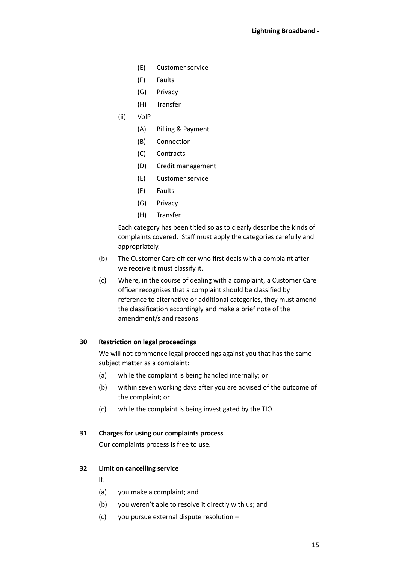- (E) Customer service
- (F) Faults
- (G) Privacy
- (H) Transfer
- (ii) VoIP
	- (A) Billing & Payment
	- (B) Connection
	- (C) Contracts
	- (D) Credit management
	- (E) Customer service
	- (F) Faults
	- (G) Privacy
	- (H) Transfer

Each category has been titled so as to clearly describe the kinds of complaints covered. Staff must apply the categories carefully and appropriately.

- (b) The Customer Care officer who first deals with a complaint after we receive it must classify it.
- (c) Where, in the course of dealing with a complaint, a Customer Care officer recognises that a complaint should be classified by reference to alternative or additional categories, they must amend the classification accordingly and make a brief note of the amendment/s and reasons.

## **30 Restriction on legal proceedings**

We will not commence legal proceedings against you that has the same subject matter as a complaint:

- (a) while the complaint is being handled internally; or
- (b) within seven working days after you are advised of the outcome of the complaint; or
- (c) while the complaint is being investigated by the TIO.

#### **31 Charges for using our complaints process**

Our complaints process is free to use.

#### **32 Limit on cancelling service**

- If:
- (a) you make a complaint; and
- (b) you weren't able to resolve it directly with us; and
- (c) you pursue external dispute resolution –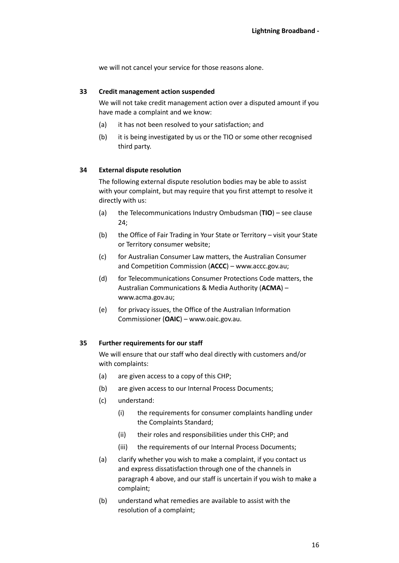we will not cancel your service for those reasons alone.

#### **33 Credit management action suspended**

We will not take credit management action over a disputed amount if you have made a complaint and we know:

- (a) it has not been resolved to your satisfaction; and
- (b) it is being investigated by us or the TIO or some other recognised third party.

#### <span id="page-15-0"></span>**34 External dispute resolution**

The following external dispute resolution bodies may be able to assist with your complaint, but may require that you first attempt to resolve it directly with us:

- (a) the Telecommunications Industry Ombudsman (**TIO**) see clause [24;](#page-11-0)
- (b) the Office of Fair Trading in Your State or Territory visit your State or Territory consumer website;
- (c) for Australian Consumer Law matters, the Australian Consumer and Competition Commission (**ACCC**) – www.accc.gov.au;
- <span id="page-15-1"></span>(d) for Telecommunications Consumer Protections Code matters, the Australian Communications & Media Authority (**ACMA**) – www.acma.gov.au;
- (e) for privacy issues, the Office of the Australian Information Commissioner (**OAIC**) – www.oaic.gov.au.

#### **35 Further requirements for our staff**

We will ensure that our staff who deal directly with customers and/or with complaints:

- (a) are given access to a copy of this CHP;
- (b) are given access to our Internal Process Documents;
- (c) understand:
	- (i) the requirements for consumer complaints handling under the Complaints Standard;
	- (ii) their roles and responsibilities under this CHP; and
	- (iii) the requirements of our Internal Process Documents;
- (a) clarify whether you wish to make a complaint, if you contact us and express dissatisfaction through one of the channels in paragraph [4](#page-5-0) [above,](#page-5-0) and our staff is uncertain if you wish to make a complaint;
- (b) understand what remedies are available to assist with the resolution of a complaint;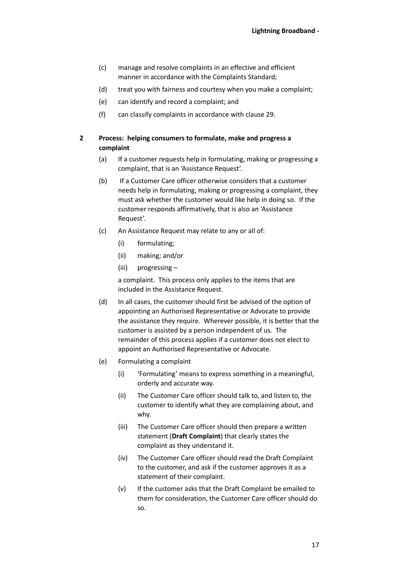- (c) manage and resolve complaints in an effective and efficient manner in accordance with the Complaints Standard;
- (d) treat you with fairness and courtesy when you make a complaint;
- (e) can identify and record a complaint; and
- (f) can classify complaints in accordance with clause [29.](#page-13-0)

# <span id="page-16-0"></span>**2 Process: helping consumers to formulate, make and progress a complaint**

- (a) If a customer requests help in formulating, making or progressing a complaint, that is an 'Assistance Request'.
- (b) If a Customer Care officer otherwise considers that a customer needs help in formulating, making or progressing a complaint, they must ask whether the customer would like help in doing so. If the customer responds affirmatively, that is also an 'Assistance Request'.
- (c) An Assistance Request may relate to any or all of:
	- (i) formulating;
	- (ii) making; and/or
	- (iii) progressing –

a complaint. This process only applies to the items that are included in the Assistance Request.

- (d) In all cases, the customer should first be advised of the option of appointing an Authorised Representative or Advocate to provide the assistance they require. Wherever possible, it is better that the customer is assisted by a person independent of us. The remainder of this process applies if a customer does not elect to appoint an Authorised Representative or Advocate.
- <span id="page-16-1"></span>(e) Formulating a complaint
	- (i) 'Formulating' means to express something in a meaningful, orderly and accurate way.
	- (ii) The Customer Care officer should talk to, and listen to, the customer to identify what they are complaining about, and why.
	- (iii) The Customer Care officer should then prepare a written statement (**Draft Complaint**) that clearly states the complaint as they understand it.
	- (iv) The Customer Care officer should read the Draft Complaint to the customer, and ask if the customer approves it as a statement of their complaint.
	- (v) If the customer asks that the Draft Complaint be emailed to them for consideration, the Customer Care officer should do so.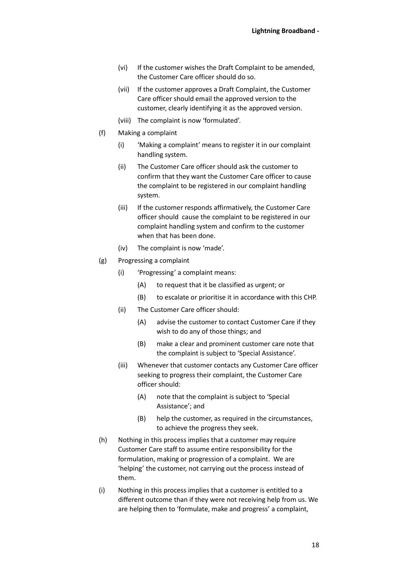- (vi) If the customer wishes the Draft Complaint to be amended, the Customer Care officer should do so.
- (vii) If the customer approves a Draft Complaint, the Customer Care officer should email the approved version to the customer, clearly identifying it as the approved version.
- (viii) The complaint is now 'formulated'.
- (f) Making a complaint
	- (i) 'Making a complaint' means to register it in our complaint handling system.
	- (ii) The Customer Care officer should ask the customer to confirm that they want the Customer Care officer to cause the complaint to be registered in our complaint handling system.
	- (iii) If the customer responds affirmatively, the Customer Care officer should cause the complaint to be registered in our complaint handling system and confirm to the customer when that has been done.
	- (iv) The complaint is now 'made'.
- (g) Progressing a complaint
	- (i) 'Progressing' a complaint means:
		- (A) to request that it be classified as urgent; or
		- (B) to escalate or prioritise it in accordance with this CHP.
	- (ii) The Customer Care officer should:
		- (A) advise the customer to contact Customer Care if they wish to do any of those things; and
		- (B) make a clear and prominent customer care note that the complaint is subject to 'Special Assistance'.
	- (iii) Whenever that customer contacts any Customer Care officer seeking to progress their complaint, the Customer Care officer should:
		- (A) note that the complaint is subject to 'Special Assistance'; and
		- (B) help the customer, as required in the circumstances, to achieve the progress they seek.
- (h) Nothing in this process implies that a customer may require Customer Care staff to assume entire responsibility for the formulation, making or progression of a complaint. We are 'helping' the customer, not carrying out the process instead of them.
- (i) Nothing in this process implies that a customer is entitled to a different outcome than if they were not receiving help from us. We are helping then to 'formulate, make and progress' a complaint,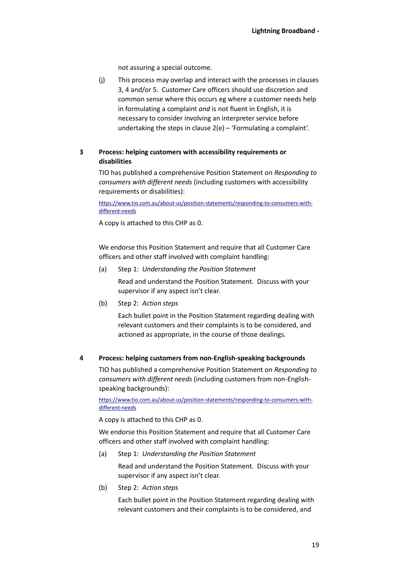not assuring a special outcome.

(j) This process may overlap and interact with the processes in clauses [3,](#page-18-0) [4](#page-18-1) and/o[r 5.](#page-19-0) Customer Care officers should use discretion and common sense where this occurs eg where a customer needs help in formulating a complaint *and* is not fluent in English, it is necessary to consider involving an interpreter service before undertaking the steps in clause [2](#page-16-0)[\(e\)](#page-16-1) – 'Formulating a complaint'.

# <span id="page-18-0"></span>**3 Process: helping customers with accessibility requirements or disabilities**

TIO has published a comprehensive Position Statement on *Responding to consumers with different needs* (including customers with accessibility requirements or disabilities):

[https://www.tio.com.au/about-us/position-statements/responding-to-consumers-with](https://www.tio.com.au/about-us/position-statements/responding-to-consumers-with-different-needs)[different-needs](https://www.tio.com.au/about-us/position-statements/responding-to-consumers-with-different-needs)

A copy is attached to this CHP a[s 0.](#page-21-0)

We endorse this Position Statement and require that all Customer Care officers and other staff involved with complaint handling:

(a) Step 1: *Understanding the Position Statement*

Read and understand the Position Statement. Discuss with your supervisor if any aspect isn't clear.

(b) Step 2: *Action steps*

Each bullet point in the Position Statement regarding dealing with relevant customers and their complaints is to be considered, and actioned as appropriate, in the course of those dealings.

# <span id="page-18-1"></span>**4 Process: helping customers from non-English-speaking backgrounds**

TIO has published a comprehensive Position Statement on *Responding to consumers with different needs* (including customers from non-Englishspeaking backgrounds):

[https://www.tio.com.au/about-us/position-statements/responding-to-consumers-with](https://www.tio.com.au/about-us/position-statements/responding-to-consumers-with-different-needs)[different-needs](https://www.tio.com.au/about-us/position-statements/responding-to-consumers-with-different-needs)

A copy is attached to this CHP a[s 0.](#page-21-0)

We endorse this Position Statement and require that all Customer Care officers and other staff involved with complaint handling:

(a) Step 1: *Understanding the Position Statement*

Read and understand the Position Statement. Discuss with your supervisor if any aspect isn't clear.

(b) Step 2: *Action steps*

Each bullet point in the Position Statement regarding dealing with relevant customers and their complaints is to be considered, and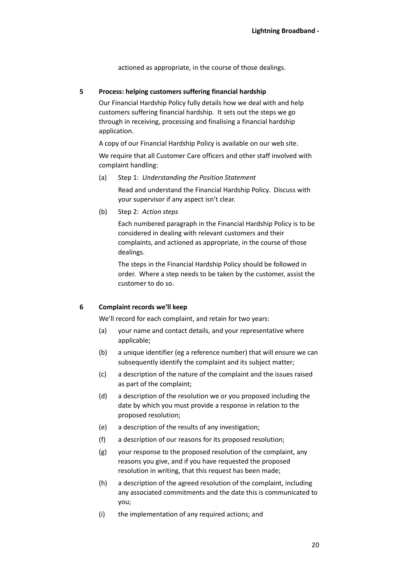actioned as appropriate, in the course of those dealings.

## <span id="page-19-0"></span>**5 Process: helping customers suffering financial hardship**

Our Financial Hardship Policy fully details how we deal with and help customers suffering financial hardship. It sets out the steps we go through in receiving, processing and finalising a financial hardship application.

A copy of our Financial Hardship Policy is available on our web site.

We require that all Customer Care officers and other staff involved with complaint handling:

(a) Step 1: *Understanding the Position Statement*

Read and understand the Financial Hardship Policy. Discuss with your supervisor if any aspect isn't clear.

(b) Step 2: *Action steps*

Each numbered paragraph in the Financial Hardship Policy is to be considered in dealing with relevant customers and their complaints, and actioned as appropriate, in the course of those dealings.

The steps in the Financial Hardship Policy should be followed in order. Where a step needs to be taken by the customer, assist the customer to do so.

# **6 Complaint records we'll keep**

We'll record for each complaint, and retain for two years:

- (a) your name and contact details, and your representative where applicable;
- (b) a unique identifier (eg a reference number) that will ensure we can subsequently identify the complaint and its subject matter;
- (c) a description of the nature of the complaint and the issues raised as part of the complaint;
- (d) a description of the resolution we or you proposed including the date by which you must provide a response in relation to the proposed resolution;
- (e) a description of the results of any investigation;
- (f) a description of our reasons for its proposed resolution;
- (g) your response to the proposed resolution of the complaint, any reasons you give, and if you have requested the proposed resolution in writing, that this request has been made;
- (h) a description of the agreed resolution of the complaint, including any associated commitments and the date this is communicated to you;
- (i) the implementation of any required actions; and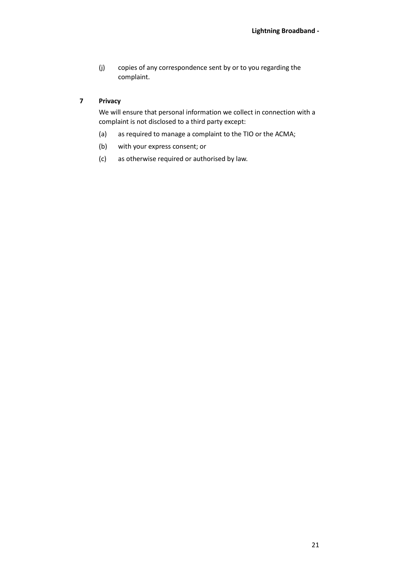(j) copies of any correspondence sent by or to you regarding the complaint.

# **7 Privacy**

We will ensure that personal information we collect in connection with a complaint is not disclosed to a third party except:

- (a) as required to manage a complaint to the TIO or the ACMA;
- (b) with your express consent; or
- (c) as otherwise required or authorised by law.